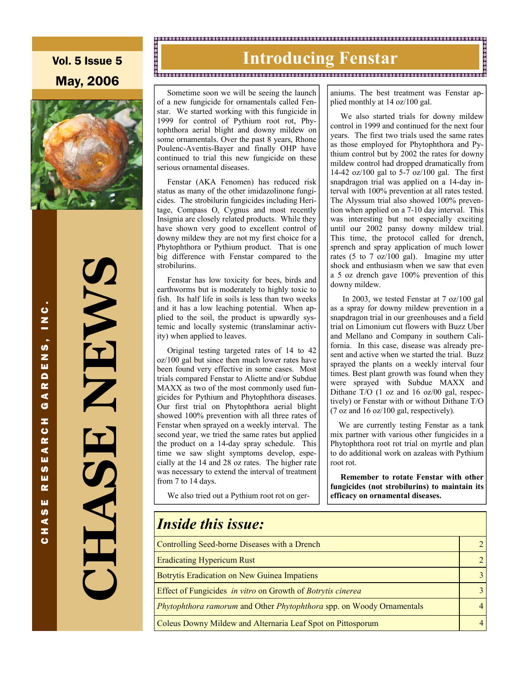Vol. 5 Issue 5 May, 2006



**CHASE NEWS**  NEWS S<br>H<br>H

#### 

# **Introducing Fenstar Manual Communication**

 Sometime soon we will be seeing the launch of a new fungicide for ornamentals called Fenstar. We started working with this fungicide in 1999 for control of Pythium root rot, Phytophthora aerial blight and downy mildew on some ornamentals. Over the past 8 years, Rhone Poulenc-Aventis-Bayer and finally OHP have continued to trial this new fungicide on these serious ornamental diseases.

 Fenstar (AKA Fenomen) has reduced risk status as many of the other imidazolinone fungicides. The strobilurin fungicides including Heritage, Compass O, Cygnus and most recently Insignia are closely related products. While they have shown very good to excellent control of downy mildew they are not my first choice for a Phytophthora or Pythium product. That is one big difference with Fenstar compared to the strobilurins.

 Fenstar has low toxicity for bees, birds and earthworms but is moderately to highly toxic to fish. Its half life in soils is less than two weeks and it has a low leaching potential. When applied to the soil, the product is upwardly systemic and locally systemic (translaminar activity) when applied to leaves.

 Original testing targeted rates of 14 to 42 oz/100 gal but since then much lower rates have been found very effective in some cases. Most trials compared Fenstar to Aliette and/or Subdue MAXX as two of the most commonly used fungicides for Pythium and Phytophthora diseases. Our first trial on Phytophthora aerial blight showed 100% prevention with all three rates of Fenstar when sprayed on a weekly interval. The second year, we tried the same rates but applied the product on a 14-day spray schedule. This time we saw slight symptoms develop, especially at the 14 and 28 oz rates. The higher rate was necessary to extend the interval of treatment from 7 to 14 days.

We also tried out a Pythium root rot on ger-

aniums. The best treatment was Fenstar applied monthly at 14 oz/100 gal.

 We also started trials for downy mildew control in 1999 and continued for the next four years. The first two trials used the same rates as those employed for Phytophthora and Pythium control but by 2002 the rates for downy mildew control had dropped dramatically from 14-42 oz/100 gal to 5-7 oz/100 gal. The first snapdragon trial was applied on a 14-day interval with 100% prevention at all rates tested. The Alyssum trial also showed 100% prevention when applied on a 7-10 day interval. This was interesting but not especially exciting until our 2002 pansy downy mildew trial. This time, the protocol called for drench, sprench and spray application of much lower rates (5 to 7 oz/100 gal). Imagine my utter shock and enthusiasm when we saw that even a 5 oz drench gave 100% prevention of this downy mildew.

 In 2003, we tested Fenstar at 7 oz/100 gal as a spray for downy mildew prevention in a snapdragon trial in our greenhouses and a field trial on Limonium cut flowers with Buzz Uber and Mellano and Company in southern California. In this case, disease was already present and active when we started the trial. Buzz sprayed the plants on a weekly interval four times. Best plant growth was found when they were sprayed with Subdue MAXX and Dithane T/O (1 oz and 16 oz/00 gal, respectively) or Fenstar with or without Dithane T/O (7 oz and 16 oz/100 gal, respectively).

 We are currently testing Fenstar as a tank mix partner with various other fungicides in a Phytophthora root rot trial on myrtle and plan to do additional work on azaleas with Pythium root rot.

 **Remember to rotate Fenstar with other fungicides (not strobilurins) to maintain its efficacy on ornamental diseases.** 

| <b>Inside this issue:</b>                                             |  |
|-----------------------------------------------------------------------|--|
| Controlling Seed-borne Diseases with a Drench                         |  |
| <b>Eradicating Hypericum Rust</b>                                     |  |
| Botrytis Eradication on New Guinea Impatiens                          |  |
| Effect of Fungicides in vitro on Growth of Botrytis cinerea           |  |
| Phytophthora ramorum and Other Phytophthora spp. on Woody Ornamentals |  |
| Coleus Downy Mildew and Alternaria Leaf Spot on Pittosporum           |  |

CHASE RESEARCH GARDENS, INC. ပ  $\overline{a}$ .<br>ທີ z ш  $\blacksquare$ œ ⋖ G z ပ  $\alpha$ ⋖ ш **SD** ш œ ш **SD** ⋖ z  $\mathbf{c}$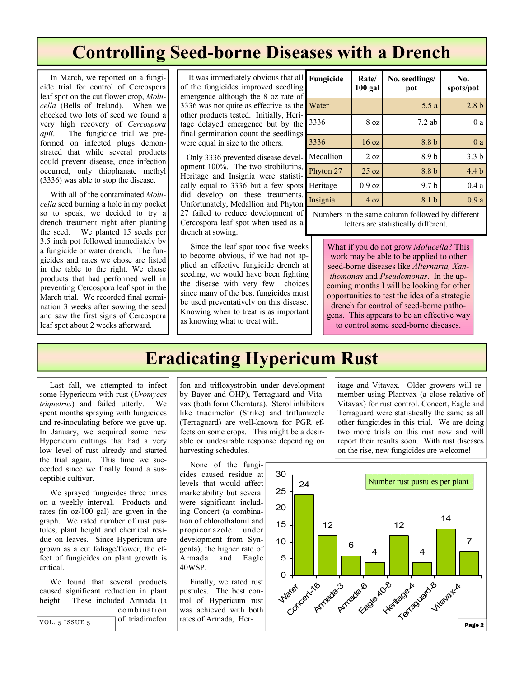### **Controlling Seed-borne Diseases with a Drench**

 In March, we reported on a fungicide trial for control of Cercospora leaf spot on the cut flower crop, *Molucella* (Bells of Ireland). When we checked two lots of seed we found a very high recovery of *Cercospora apii*. The fungicide trial we preformed on infected plugs demonstrated that while several products could prevent disease, once infection occurred, only thiophanate methyl (3336) was able to stop the disease.

 With all of the contaminated *Molucella* seed burning a hole in my pocket so to speak, we decided to try a drench treatment right after planting the seed. We planted 15 seeds per 3.5 inch pot followed immediately by a fungicide or water drench. The fungicides and rates we chose are listed in the table to the right. We chose products that had performed well in preventing Cercospora leaf spot in the March trial. We recorded final germination 3 weeks after sowing the seed and saw the first signs of Cercospora leaf spot about 2 weeks afterward.

 It was immediately obvious that all of the fungicides improved seedling emergence although the 8 oz rate of 3336 was not quite as effective as the other products tested. Initially, Heritage delayed emergence but by the final germination count the seedlings were equal in size to the others.

 Only 3336 prevented disease development 100%. The two strobilurins, Heritage and Insignia were statistically equal to 3336 but a few spots did develop on these treatments. Unfortunately, Medallion and Phyton 27 failed to reduce development of Cercospora leaf spot when used as a drench at sowing.

 Since the leaf spot took five weeks to become obvious, if we had not applied an effective fungicide drench at seeding, we would have been fighting the disease with very few choices since many of the best fungicides must be used preventatively on this disease. Knowing when to treat is as important as knowing what to treat with.

| l<br>)<br>f                                          | Fungicide | Rate/<br><b>100 gal</b> | No. seedlings/<br>pot | No.<br>spots/pot |
|------------------------------------------------------|-----------|-------------------------|-----------------------|------------------|
| $\mathbf{r}$                                         | Water     |                         | 5.5a                  | 2.8 <sub>b</sub> |
| $\overline{\phantom{a}}$<br>$\overline{\phantom{a}}$ | 3336      | 8 oz                    | $7.2$ ab              | 0a               |
|                                                      | 3336      | 16 oz                   | 8.8 b                 | 0a               |
|                                                      | Medallion | 2 oz                    | 8.9b                  | 3.3 <sub>b</sub> |
| $\overline{ }$                                       | Phyton 27 | 25 oz                   | 8.8 b                 | 4.4 <sub>b</sub> |
| $\overline{\phantom{a}}$                             | Heritage  | $0.9$ oz                | 9.7 <sub>b</sub>      | 0.4a             |
| ۰                                                    | Insignia  | 4 oz                    | 8.1 b                 | 0.9a             |
|                                                      |           |                         |                       |                  |

Numbers in the same column followed by different letters are statistically different.

What if you do not grow *Molucella*? This work may be able to be applied to other seed-borne diseases like *Alternaria, Xanthomonas* and *Pseudomonas*. In the upcoming months I will be looking for other opportunities to test the idea of a strategic drench for control of seed-borne patho-

gens. This appears to be an effective way to control some seed-borne diseases.

### **Eradicating Hypericum Rust**

 Last fall, we attempted to infect some Hypericum with rust (*Uromyces triquetrus*) and failed utterly. We spent months spraying with fungicides and re-inoculating before we gave up. In January, we acquired some new Hypericum cuttings that had a very low level of rust already and started the trial again. This time we succeeded since we finally found a susceptible cultivar.

 We sprayed fungicides three times on a weekly interval. Products and rates (in oz/100 gal) are given in the graph. We rated number of rust pustules, plant height and chemical residue on leaves. Since Hypericum are grown as a cut foliage/flower, the effect of fungicides on plant growth is critical.

 We found that several products caused significant reduction in plant height. These included Armada (a combination of triadimefon

fon and trifloxystrobin under development by Bayer and OHP), Terraguard and Vitavax (both form Chemtura). Sterol inhibitors like triadimefon (Strike) and triflumizole (Terraguard) are well-known for PGR effects on some crops. This might be a desirable or undesirable response depending on harvesting schedules.

 None of the fungicides caused residue at levels that would affect marketability but several were significant including Concert (a combination of chlorothalonil and propiconazole under development from Syngenta), the higher rate of Armada and Eagle 40WSP.

 Finally, we rated rust pustules. The best control of Hypericum rust was achieved with both rates of Armada, Her-

itage and Vitavax. Older growers will remember using Plantvax (a close relative of Vitavax) for rust control. Concert, Eagle and Terraguard were statistically the same as all other fungicides in this trial. We are doing two more trials on this rust now and will report their results soon. With rust diseases on the rise, new fungicides are welcome!

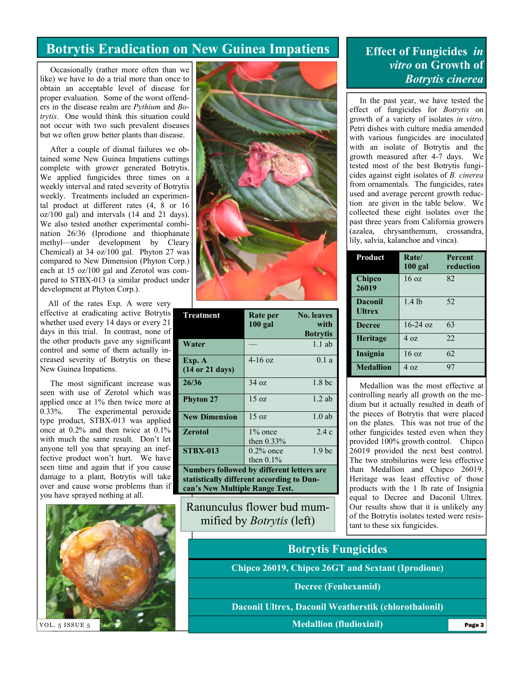### **Botrytis Eradication on New Guinea Impatiens**

 Occasionally (rather more often than we like) we have to do a trial more than once to obtain an acceptable level of disease for proper evaluation. Some of the worst offenders in the disease realm are *Pythium* and *Botrytis*. One would think this situation could not occur with two such prevalent diseases but we often grow better plants than disease.

 After a couple of dismal failures we obtained some New Guinea Impatiens cuttings complete with grower generated Botrytis. We applied fungicides three times on a weekly interval and rated severity of Botrytis weekly. Treatments included an experimental product at different rates (4, 8 or 16 oz/100 gal) and intervals (14 and 21 days). We also tested another experimental combination 26/36 (Iprodione and thiophanate methyl—under development by Cleary Chemical) at 34 oz/100 gal. Phyton 27 was compared to New Dimension (Phyton Corp.) each at 15 oz/100 gal and Zerotol was compared to STBX-013 (a similar product under development at Phyton Corp.).

 All of the rates Exp. A were very effective at eradicating active Botrytis whether used every 14 days or every 21 days in this trial. In contrast, none of the other products gave any significant control and some of them actually increased severity of Botrytis on these New Guinea Impatiens.

 The most significant increase was seen with use of Zerotol which was applied once at 1% then twice more at 0.33%. The experimental peroxide type product, STBX-013 was applied once at 0.2% and then twice at 0.1% with much the same result. Don't let anyone tell you that spraying an ineffective product won't hurt. We have seen time and again that if you cause damage to a plant, Botrytis will take over and cause worse problems than if you have sprayed nothing at all.





| Rate per<br>$100$ gal                     | <b>No. leaves</b><br>with |  |  |  |  |
|-------------------------------------------|---------------------------|--|--|--|--|
|                                           | <b>Botrytis</b>           |  |  |  |  |
|                                           | $1.1$ ab                  |  |  |  |  |
| $4 - 16$ oz                               | 0.1a                      |  |  |  |  |
|                                           |                           |  |  |  |  |
| 34 oz                                     | 1.8 <sub>bc</sub>         |  |  |  |  |
| $15 \text{ oz}$                           | 12ab                      |  |  |  |  |
| $15 \text{ oz}$                           | $1.0$ ab                  |  |  |  |  |
| $1\%$ once                                | 2.4c                      |  |  |  |  |
| then $0.33\%$                             |                           |  |  |  |  |
| $0.2\%$ once                              | 1.9 <sub>bc</sub>         |  |  |  |  |
| then $0.1\%$                              |                           |  |  |  |  |
| Numbers followed by different letters are |                           |  |  |  |  |
| statistically different according to Dun- |                           |  |  |  |  |
| can's New Multiple Range Test.            |                           |  |  |  |  |
|                                           |                           |  |  |  |  |

Ranunculus flower bud mummified by *Botrytis* (left)

#### **Effect of Fungicides** *in vitro* **on Growth of**  *Botrytis cinerea*

 In the past year, we have tested the effect of fungicides for *Botrytis* on growth of a variety of isolates *in vitro*. Petri dishes with culture media amended with various fungicides are inoculated with an isolate of Botrytis and the growth measured after 4-7 days. We tested most of the best Botrytis fungicides against eight isolates of *B. cinerea*  from ornamentals*.* The fungicides, rates used and average percent growth reduction are given in the table below. We collected these eight isolates over the past three years from California growers (azalea, chrysanthemum, crossandra, lily, salvia, kalanchoe and vinca).

| Product                  | Rate/<br>$100$ gal | Percent<br>reduction |
|--------------------------|--------------------|----------------------|
| Chipco<br>26019          | $16 \text{ oz}$    | 82                   |
| Daconil<br><b>Ultrex</b> | $1.4$ lb           | 52                   |
| <b>Decree</b>            | $16-24 \text{ oz}$ | 63                   |
| <b>Heritage</b>          | 40z                | 22.                  |
| Insignia                 | $16 \text{ oz}$    | 62                   |
| <b>Medallion</b>         | $4 \Omega$         | 97                   |

 Medallion was the most effective at controlling nearly all growth on the medium but it actually resulted in death of the pieces of Botrytis that were placed on the plates. This was not true of the other fungicides tested even when they provided 100% growth control. Chipco 26019 provided the next best control. The two strobilurins were less effective than Medallion and Chipco 26019. Heritage was least effective of those products with the 1 lb rate of Insignia equal to Decree and Daconil Ultrex. Our results show that it is unlikely any of the Botrytis isolates tested were resistant to these six fungicides.

## **Botrytis Fungicides**

**Chipco 26019, Chipco 26GT and Sextant (Iprodione)** 

**Decree (Fenhexamid)** 

**Daconil Ultrex, Daconil Weatherstik (chlorothalonil)**